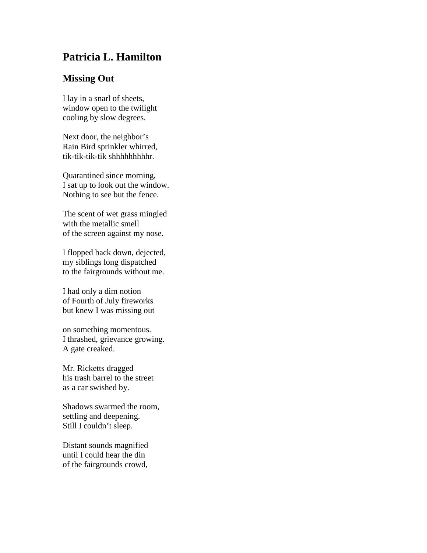## **Patricia L. Hamilton**

## **Missing Out**

I lay in a snarl of sheets, window open to the twilight cooling by slow degrees.

Next door, the neighbor's Rain Bird sprinkler whirred, tik-tik-tik-tik shhhhhhhhhr.

Quarantined since morning, I sat up to look out the window. Nothing to see but the fence.

The scent of wet grass mingled with the metallic smell of the screen against my nose.

I flopped back down, dejected, my siblings long dispatched to the fairgrounds without me.

I had only a dim notion of Fourth of July fireworks but knew I was missing out

on something momentous. I thrashed, grievance growing. A gate creaked.

Mr. Ricketts dragged his trash barrel to the street as a car swished by.

Shadows swarmed the room, settling and deepening. Still I couldn't sleep.

Distant sounds magnified until I could hear the din of the fairgrounds crowd,